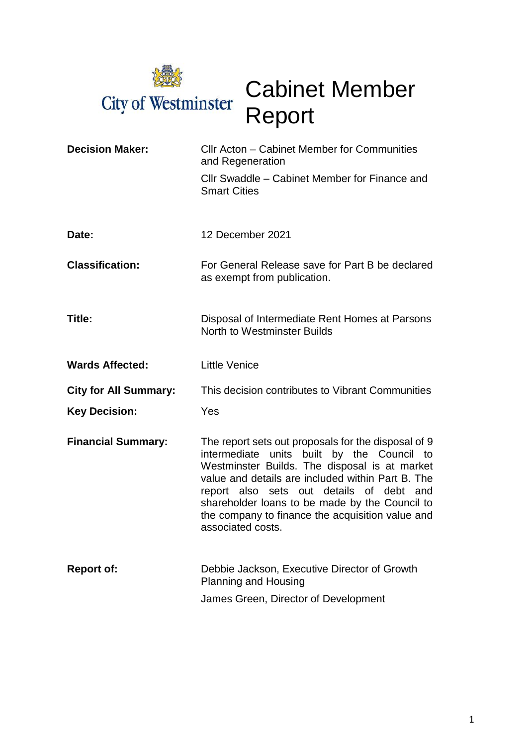

# Cabinet Member Report

| <b>Decision Maker:</b>       | Cllr Acton - Cabinet Member for Communities<br>and Regeneration                                                                                                                                                                                                                                                                                                                |  |  |
|------------------------------|--------------------------------------------------------------------------------------------------------------------------------------------------------------------------------------------------------------------------------------------------------------------------------------------------------------------------------------------------------------------------------|--|--|
|                              | Cllr Swaddle – Cabinet Member for Finance and<br><b>Smart Cities</b>                                                                                                                                                                                                                                                                                                           |  |  |
| Date:                        | 12 December 2021                                                                                                                                                                                                                                                                                                                                                               |  |  |
| <b>Classification:</b>       | For General Release save for Part B be declared<br>as exempt from publication.                                                                                                                                                                                                                                                                                                 |  |  |
| Title:                       | Disposal of Intermediate Rent Homes at Parsons<br>North to Westminster Builds                                                                                                                                                                                                                                                                                                  |  |  |
| <b>Wards Affected:</b>       | <b>Little Venice</b>                                                                                                                                                                                                                                                                                                                                                           |  |  |
| <b>City for All Summary:</b> | This decision contributes to Vibrant Communities                                                                                                                                                                                                                                                                                                                               |  |  |
| <b>Key Decision:</b>         | Yes                                                                                                                                                                                                                                                                                                                                                                            |  |  |
| <b>Financial Summary:</b>    | The report sets out proposals for the disposal of 9<br>intermediate units built by the Council to<br>Westminster Builds. The disposal is at market<br>value and details are included within Part B. The<br>report also sets out details of debt and<br>shareholder loans to be made by the Council to<br>the company to finance the acquisition value and<br>associated costs. |  |  |
| <b>Report of:</b>            | Debbie Jackson, Executive Director of Growth<br><b>Planning and Housing</b>                                                                                                                                                                                                                                                                                                    |  |  |
|                              | James Green, Director of Development                                                                                                                                                                                                                                                                                                                                           |  |  |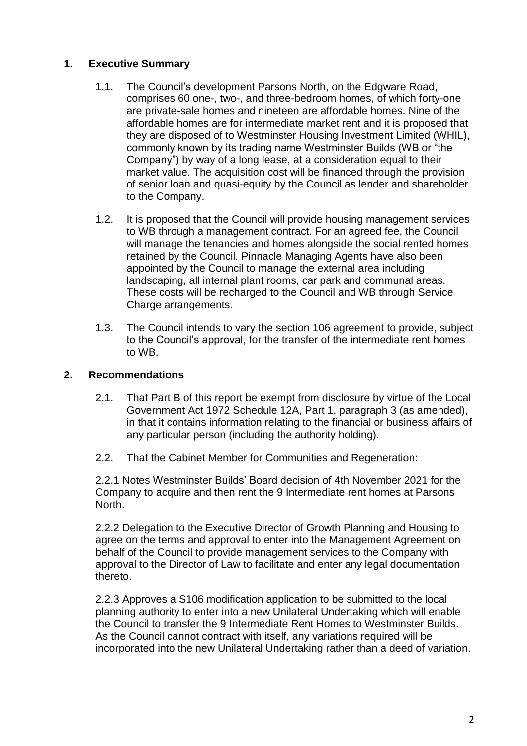## **1. Executive Summary**

- 1.1. The Council's development Parsons North, on the Edgware Road, comprises 60 one-, two-, and three-bedroom homes, of which forty-one are private-sale homes and nineteen are affordable homes. Nine of the affordable homes are for intermediate market rent and it is proposed that they are disposed of to Westminster Housing Investment Limited (WHIL), commonly known by its trading name Westminster Builds (WB or "the Company") by way of a long lease, at a consideration equal to their market value. The acquisition cost will be financed through the provision of senior loan and quasi-equity by the Council as lender and shareholder to the Company.
- 1.2. It is proposed that the Council will provide housing management services to WB through a management contract. For an agreed fee, the Council will manage the tenancies and homes alongside the social rented homes retained by the Council. Pinnacle Managing Agents have also been appointed by the Council to manage the external area including landscaping, all internal plant rooms, car park and communal areas. These costs will be recharged to the Council and WB through Service Charge arrangements.
- 1.3. The Council intends to vary the section 106 agreement to provide, subject to the Council's approval, for the transfer of the intermediate rent homes to WB.

## **2. Recommendations**

- 2.1. That Part B of this report be exempt from disclosure by virtue of the Local Government Act 1972 Schedule 12A, Part 1, paragraph 3 (as amended), in that it contains information relating to the financial or business affairs of any particular person (including the authority holding).
- 2.2. That the Cabinet Member for Communities and Regeneration:

2.2.1 Notes Westminster Builds' Board decision of 4th November 2021 for the Company to acquire and then rent the 9 Intermediate rent homes at Parsons North.

2.2.2 Delegation to the Executive Director of Growth Planning and Housing to agree on the terms and approval to enter into the Management Agreement on behalf of the Council to provide management services to the Company with approval to the Director of Law to facilitate and enter any legal documentation thereto.

2.2.3 Approves a S106 modification application to be submitted to the local planning authority to enter into a new Unilateral Undertaking which will enable the Council to transfer the 9 Intermediate Rent Homes to Westminster Builds. As the Council cannot contract with itself, any variations required will be incorporated into the new Unilateral Undertaking rather than a deed of variation.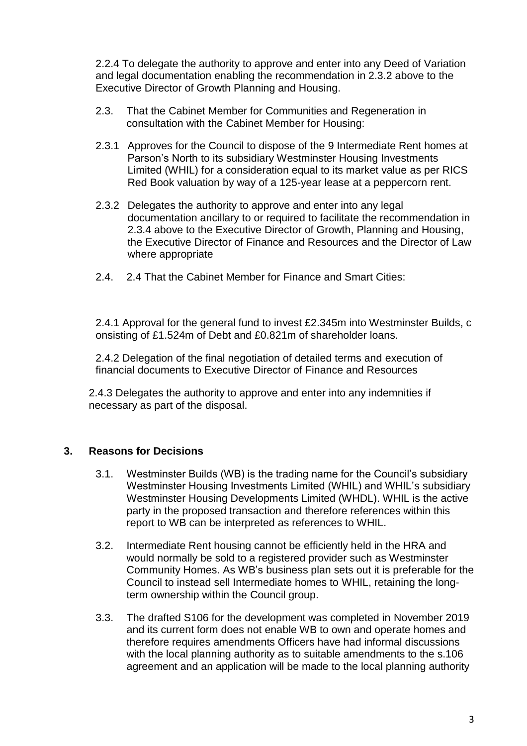2.2.4 To delegate the authority to approve and enter into any Deed of Variation and legal documentation enabling the recommendation in 2.3.2 above to the Executive Director of Growth Planning and Housing.

- 2.3. That the Cabinet Member for Communities and Regeneration in consultation with the Cabinet Member for Housing:
- 2.3.1 Approves for the Council to dispose of the 9 Intermediate Rent homes at Parson's North to its subsidiary Westminster Housing Investments Limited (WHIL) for a consideration equal to its market value as per RICS Red Book valuation by way of a 125-year lease at a peppercorn rent.
- 2.3.2 Delegates the authority to approve and enter into any legal documentation ancillary to or required to facilitate the recommendation in 2.3.4 above to the Executive Director of Growth, Planning and Housing, the Executive Director of Finance and Resources and the Director of Law where appropriate
- 2.4. 2.4 That the Cabinet Member for Finance and Smart Cities:

2.4.1 Approval for the general fund to invest £2.345m into Westminster Builds, c onsisting of £1.524m of Debt and £0.821m of shareholder loans.

2.4.2 Delegation of the final negotiation of detailed terms and execution of financial documents to Executive Director of Finance and Resources

2.4.3 Delegates the authority to approve and enter into any indemnities if necessary as part of the disposal.

#### **3. Reasons for Decisions**

- 3.1. Westminster Builds (WB) is the trading name for the Council's subsidiary Westminster Housing Investments Limited (WHIL) and WHIL's subsidiary Westminster Housing Developments Limited (WHDL). WHIL is the active party in the proposed transaction and therefore references within this report to WB can be interpreted as references to WHIL.
- 3.2. Intermediate Rent housing cannot be efficiently held in the HRA and would normally be sold to a registered provider such as Westminster Community Homes. As WB's business plan sets out it is preferable for the Council to instead sell Intermediate homes to WHIL, retaining the longterm ownership within the Council group.
- 3.3. The drafted S106 for the development was completed in November 2019 and its current form does not enable WB to own and operate homes and therefore requires amendments Officers have had informal discussions with the local planning authority as to suitable amendments to the s.106 agreement and an application will be made to the local planning authority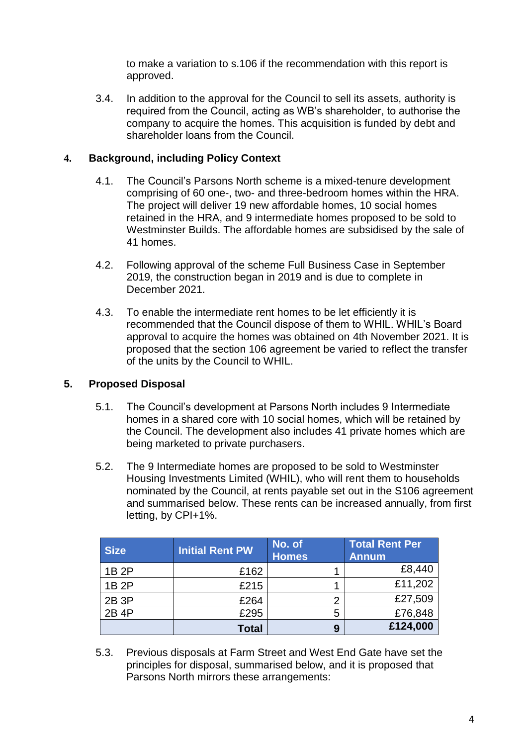to make a variation to s.106 if the recommendation with this report is approved.

3.4. In addition to the approval for the Council to sell its assets, authority is required from the Council, acting as WB's shareholder, to authorise the company to acquire the homes. This acquisition is funded by debt and shareholder loans from the Council.

#### **4. Background, including Policy Context**

- 4.1. The Council's Parsons North scheme is a mixed-tenure development comprising of 60 one-, two- and three-bedroom homes within the HRA. The project will deliver 19 new affordable homes, 10 social homes retained in the HRA, and 9 intermediate homes proposed to be sold to Westminster Builds. The affordable homes are subsidised by the sale of 41 homes.
- 4.2. Following approval of the scheme Full Business Case in September 2019, the construction began in 2019 and is due to complete in December 2021.
- 4.3. To enable the intermediate rent homes to be let efficiently it is recommended that the Council dispose of them to WHIL. WHIL's Board approval to acquire the homes was obtained on 4th November 2021. It is proposed that the section 106 agreement be varied to reflect the transfer of the units by the Council to WHIL.

## **5. Proposed Disposal**

- 5.1. The Council's development at Parsons North includes 9 Intermediate homes in a shared core with 10 social homes, which will be retained by the Council. The development also includes 41 private homes which are being marketed to private purchasers.
- 5.2. The 9 Intermediate homes are proposed to be sold to Westminster Housing Investments Limited (WHIL), who will rent them to households nominated by the Council, at rents payable set out in the S106 agreement and summarised below. These rents can be increased annually, from first letting, by CPI+1%.

| <b>Size</b> | <b>Initial Rent PW</b> | No. of<br><b>Homes</b> | <b>Total Rent Per</b><br><b>Annum</b> |
|-------------|------------------------|------------------------|---------------------------------------|
|             |                        |                        |                                       |
| 1B 2P       | £162                   |                        | £8,440                                |
| 1B 2P       | £215                   |                        | £11,202                               |
|             |                        |                        |                                       |
| 2B 3P       | £264                   | $\overline{2}$         | £27,509                               |
| 2B 4P       | £295                   | 5                      | £76,848                               |
|             | <b>Total</b>           | 9                      | £124,000                              |

5.3. Previous disposals at Farm Street and West End Gate have set the principles for disposal, summarised below, and it is proposed that Parsons North mirrors these arrangements: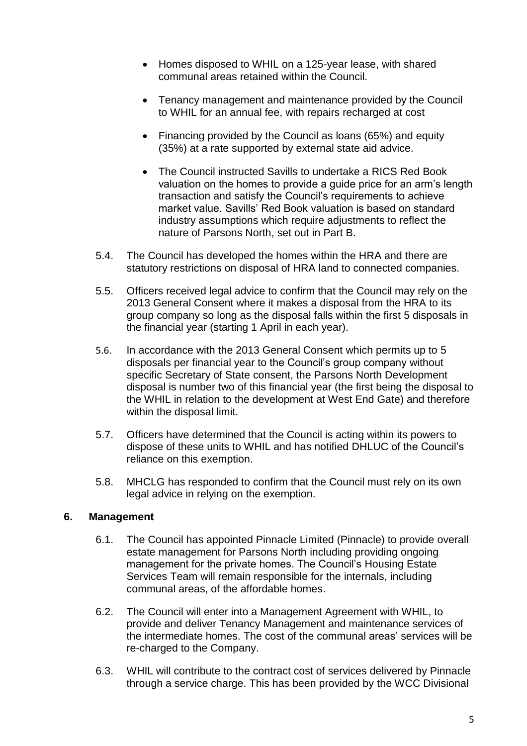- Homes disposed to WHIL on a 125-year lease, with shared communal areas retained within the Council.
- Tenancy management and maintenance provided by the Council to WHIL for an annual fee, with repairs recharged at cost
- Financing provided by the Council as loans (65%) and equity (35%) at a rate supported by external state aid advice.
- The Council instructed Savills to undertake a RICS Red Book valuation on the homes to provide a guide price for an arm's length transaction and satisfy the Council's requirements to achieve market value. Savills' Red Book valuation is based on standard industry assumptions which require adjustments to reflect the nature of Parsons North, set out in Part B.
- 5.4. The Council has developed the homes within the HRA and there are statutory restrictions on disposal of HRA land to connected companies.
- 5.5. Officers received legal advice to confirm that the Council may rely on the 2013 General Consent where it makes a disposal from the HRA to its group company so long as the disposal falls within the first 5 disposals in the financial year (starting 1 April in each year).
- 5.6. In accordance with the 2013 General Consent which permits up to 5 disposals per financial year to the Council's group company without specific Secretary of State consent, the Parsons North Development disposal is number two of this financial year (the first being the disposal to the WHIL in relation to the development at West End Gate) and therefore within the disposal limit.
- 5.7. Officers have determined that the Council is acting within its powers to dispose of these units to WHIL and has notified DHLUC of the Council's reliance on this exemption.
- 5.8. MHCLG has responded to confirm that the Council must rely on its own legal advice in relying on the exemption.

## **6. Management**

- 6.1. The Council has appointed Pinnacle Limited (Pinnacle) to provide overall estate management for Parsons North including providing ongoing management for the private homes. The Council's Housing Estate Services Team will remain responsible for the internals, including communal areas, of the affordable homes.
- 6.2. The Council will enter into a Management Agreement with WHIL, to provide and deliver Tenancy Management and maintenance services of the intermediate homes. The cost of the communal areas' services will be re-charged to the Company.
- 6.3. WHIL will contribute to the contract cost of services delivered by Pinnacle through a service charge. This has been provided by the WCC Divisional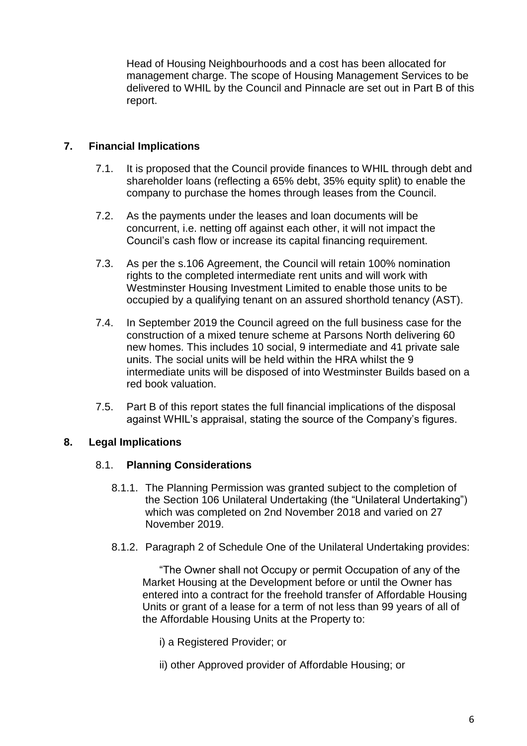Head of Housing Neighbourhoods and a cost has been allocated for management charge. The scope of Housing Management Services to be delivered to WHIL by the Council and Pinnacle are set out in Part B of this report.

## **7. Financial Implications**

- 7.1. It is proposed that the Council provide finances to WHIL through debt and shareholder loans (reflecting a 65% debt, 35% equity split) to enable the company to purchase the homes through leases from the Council.
- 7.2. As the payments under the leases and loan documents will be concurrent, i.e. netting off against each other, it will not impact the Council's cash flow or increase its capital financing requirement.
- 7.3. As per the s.106 Agreement, the Council will retain 100% nomination rights to the completed intermediate rent units and will work with Westminster Housing Investment Limited to enable those units to be occupied by a qualifying tenant on an assured shorthold tenancy (AST).
- 7.4. In September 2019 the Council agreed on the full business case for the construction of a mixed tenure scheme at Parsons North delivering 60 new homes. This includes 10 social, 9 intermediate and 41 private sale units. The social units will be held within the HRA whilst the 9 intermediate units will be disposed of into Westminster Builds based on a red book valuation.
- 7.5. Part B of this report states the full financial implications of the disposal against WHIL's appraisal, stating the source of the Company's figures.

## **8. Legal Implications**

#### 8.1. **Planning Considerations**

- 8.1.1. The Planning Permission was granted subject to the completion of the Section 106 Unilateral Undertaking (the "Unilateral Undertaking") which was completed on 2nd November 2018 and varied on 27 November 2019.
- 8.1.2. Paragraph 2 of Schedule One of the Unilateral Undertaking provides:

"The Owner shall not Occupy or permit Occupation of any of the Market Housing at the Development before or until the Owner has entered into a contract for the freehold transfer of Affordable Housing Units or grant of a lease for a term of not less than 99 years of all of the Affordable Housing Units at the Property to:

- i) a Registered Provider; or
- ii) other Approved provider of Affordable Housing; or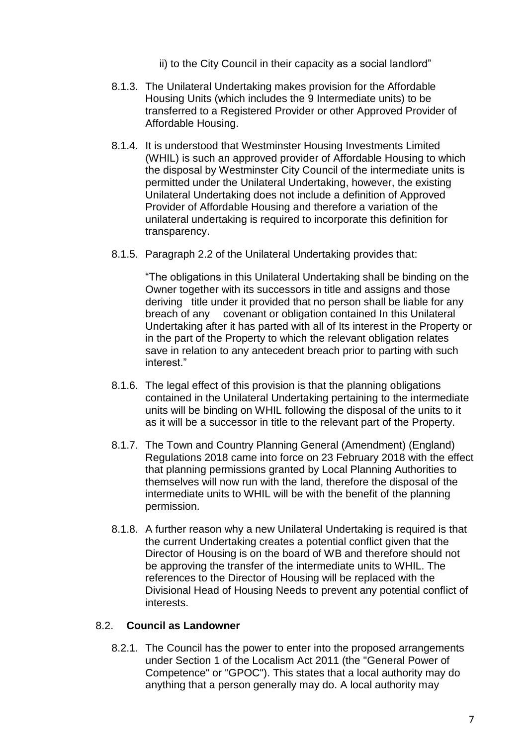ii) to the City Council in their capacity as a social landlord"

- 8.1.3. The Unilateral Undertaking makes provision for the Affordable Housing Units (which includes the 9 Intermediate units) to be transferred to a Registered Provider or other Approved Provider of Affordable Housing.
- 8.1.4. It is understood that Westminster Housing Investments Limited (WHIL) is such an approved provider of Affordable Housing to which the disposal by Westminster City Council of the intermediate units is permitted under the Unilateral Undertaking, however, the existing Unilateral Undertaking does not include a definition of Approved Provider of Affordable Housing and therefore a variation of the unilateral undertaking is required to incorporate this definition for transparency.
- 8.1.5. Paragraph 2.2 of the Unilateral Undertaking provides that:

"The obligations in this Unilateral Undertaking shall be binding on the Owner together with its successors in title and assigns and those deriving title under it provided that no person shall be liable for any breach of any covenant or obligation contained In this Unilateral Undertaking after it has parted with all of Its interest in the Property or in the part of the Property to which the relevant obligation relates save in relation to any antecedent breach prior to parting with such interest."

- 8.1.6. The legal effect of this provision is that the planning obligations contained in the Unilateral Undertaking pertaining to the intermediate units will be binding on WHIL following the disposal of the units to it as it will be a successor in title to the relevant part of the Property.
- 8.1.7. The Town and Country Planning General (Amendment) (England) Regulations 2018 came into force on 23 February 2018 with the effect that planning permissions granted by Local Planning Authorities to themselves will now run with the land, therefore the disposal of the intermediate units to WHIL will be with the benefit of the planning permission.
- 8.1.8. A further reason why a new Unilateral Undertaking is required is that the current Undertaking creates a potential conflict given that the Director of Housing is on the board of WB and therefore should not be approving the transfer of the intermediate units to WHIL. The references to the Director of Housing will be replaced with the Divisional Head of Housing Needs to prevent any potential conflict of interests.

#### 8.2. **Council as Landowner**

8.2.1. The Council has the power to enter into the proposed arrangements under Section 1 of the Localism Act 2011 (the "General Power of Competence" or "GPOC"). This states that a local authority may do anything that a person generally may do. A local authority may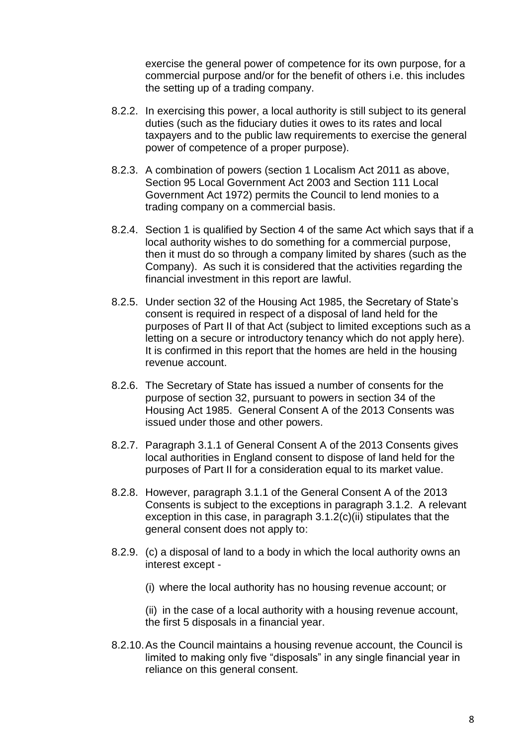exercise the general power of competence for its own purpose, for a commercial purpose and/or for the benefit of others i.e. this includes the setting up of a trading company.

- 8.2.2. In exercising this power, a local authority is still subject to its general duties (such as the fiduciary duties it owes to its rates and local taxpayers and to the public law requirements to exercise the general power of competence of a proper purpose).
- 8.2.3. A combination of powers (section 1 Localism Act 2011 as above, Section 95 Local Government Act 2003 and Section 111 Local Government Act 1972) permits the Council to lend monies to a trading company on a commercial basis.
- 8.2.4. Section 1 is qualified by Section 4 of the same Act which says that if a local authority wishes to do something for a commercial purpose, then it must do so through a company limited by shares (such as the Company). As such it is considered that the activities regarding the financial investment in this report are lawful.
- 8.2.5. Under section 32 of the Housing Act 1985, the Secretary of State's consent is required in respect of a disposal of land held for the purposes of Part II of that Act (subject to limited exceptions such as a letting on a secure or introductory tenancy which do not apply here). It is confirmed in this report that the homes are held in the housing revenue account.
- 8.2.6. The Secretary of State has issued a number of consents for the purpose of section 32, pursuant to powers in section 34 of the Housing Act 1985. General Consent A of the 2013 Consents was issued under those and other powers.
- 8.2.7. Paragraph 3.1.1 of General Consent A of the 2013 Consents gives local authorities in England consent to dispose of land held for the purposes of Part II for a consideration equal to its market value.
- 8.2.8. However, paragraph 3.1.1 of the General Consent A of the 2013 Consents is subject to the exceptions in paragraph 3.1.2. A relevant exception in this case, in paragraph 3.1.2(c)(ii) stipulates that the general consent does not apply to:
- 8.2.9. (c) a disposal of land to a body in which the local authority owns an interest except -
	- (i) where the local authority has no housing revenue account; or

(ii) in the case of a local authority with a housing revenue account, the first 5 disposals in a financial year.

8.2.10.As the Council maintains a housing revenue account, the Council is limited to making only five "disposals" in any single financial year in reliance on this general consent.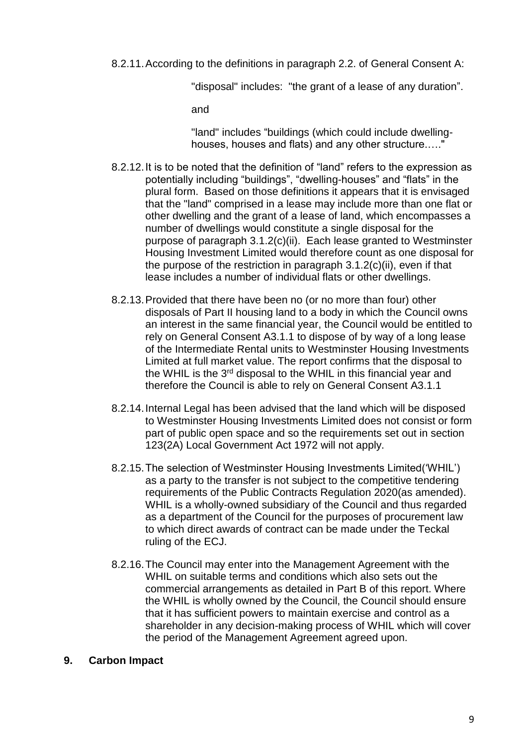8.2.11.According to the definitions in paragraph 2.2. of General Consent A:

"disposal" includes: "the grant of a lease of any duration".

and

"land" includes "buildings (which could include dwellinghouses, houses and flats) and any other structure.…."

- 8.2.12.It is to be noted that the definition of "land" refers to the expression as potentially including "buildings", "dwelling-houses" and "flats" in the plural form. Based on those definitions it appears that it is envisaged that the "land" comprised in a lease may include more than one flat or other dwelling and the grant of a lease of land, which encompasses a number of dwellings would constitute a single disposal for the purpose of paragraph 3.1.2(c)(ii). Each lease granted to Westminster Housing Investment Limited would therefore count as one disposal for the purpose of the restriction in paragraph  $3.1.2(c)(ii)$ , even if that lease includes a number of individual flats or other dwellings.
- 8.2.13.Provided that there have been no (or no more than four) other disposals of Part II housing land to a body in which the Council owns an interest in the same financial year, the Council would be entitled to rely on General Consent A3.1.1 to dispose of by way of a long lease of the Intermediate Rental units to Westminster Housing Investments Limited at full market value. The report confirms that the disposal to the WHIL is the 3<sup>rd</sup> disposal to the WHIL in this financial year and therefore the Council is able to rely on General Consent A3.1.1
- 8.2.14.Internal Legal has been advised that the land which will be disposed to Westminster Housing Investments Limited does not consist or form part of public open space and so the requirements set out in section 123(2A) Local Government Act 1972 will not apply.
- 8.2.15.The selection of Westminster Housing Investments Limited('WHIL') as a party to the transfer is not subject to the competitive tendering requirements of the Public Contracts Regulation 2020(as amended). WHIL is a wholly-owned subsidiary of the Council and thus regarded as a department of the Council for the purposes of procurement law to which direct awards of contract can be made under the Teckal ruling of the ECJ.
- 8.2.16.The Council may enter into the Management Agreement with the WHIL on suitable terms and conditions which also sets out the commercial arrangements as detailed in Part B of this report. Where the WHIL is wholly owned by the Council, the Council should ensure that it has sufficient powers to maintain exercise and control as a shareholder in any decision-making process of WHIL which will cover the period of the Management Agreement agreed upon.

## **9. Carbon Impact**